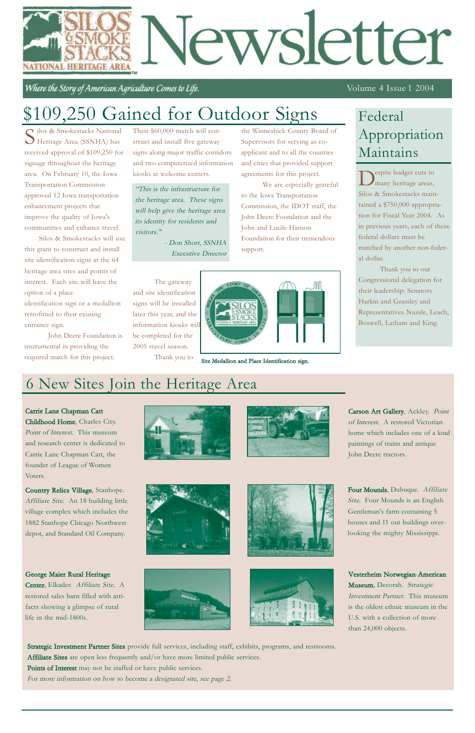# Vewsletter NATIONAL HERITAGE

Where the Story of American Agriculture Comes to Life.

#### Volume 4 Issue 1 2004

### 6 New Sites Join the Heritage Area

Silos & Smokestacks National Heritage Area (SSNHA) has received approval of \$109,250 for signage throughout the heritage area. On February 10, the Iowa Transportation Commission approved 12 Iowa transportation enhancement projects that improve the quality of Iowa's communities and enhance travel.

Silos & Smokestacks will use this grant to construct and install site identification signs at the 64 heritage area sites and points of interest. Each site will have the option of a place identification sign or a medallion

retrofitted to their existing entrance sign.

John Deere Foundation is instrumental in providing the required match for this project.

Their \$60,000 match will construct and install five gateway signs along major traffic corridors and two computerized information kiosks at welcome centers.

The gateway and site identification signs will be installed later this year, and the information kiosks will be completed for the 2005 travel season.

Thank you to



the Winneshiek County Board of

Supervisors for serving as coapplicant and to all the counties and cities that provided support

agreements for this project.

We are especially grateful

to the Iowa Transportation

Commission, the IDOT staff, the John Deere Foundation and the

 $\sum$ <sup>espite</sup> budget cuts to many heritage areas, Silos & Smokestacks maintained a \$750,000 appropriation for Fiscal Year 2004. As in previous years, each of these federal dollars must be matched by another non-federal dollar.

John and Lucile Hanson

Foundation for their tremendous

support.

### \$109,250 Gained for Outdoor Signs

Carrie Lane Chapman Catt

Childhood Home, Charles City. Point of Interest. This museum and research center is dedicated to Carrie Lane Chapman Catt, the founder of League of Women Voters.



Carson Art Gallery, Ackley. Point of Interest. A restored Victorian home which includes one of a kind paintings of trains and antique John Deere tractors.

Country Relics Village, Stanhope. Affiliate Site. An 18 building little village complex which includes the 1882 Stanhope Chicago Northwest depot, and Standard Oil Company.









#### George Maier Rural Heritage

Center, Elkader. Affiliate Site. A restored sales barn filled with artifacts showing a glimpse of rural life in the mid-1800s.





Vesterheim Norwegian-American Museum, Decorah. Strategic Investment Partner. This museum is the oldest ethnic museum in the U.S. with a collection of more than 24,000 objects.

Thank you to our Congressional delegation for their leadership: Senators Harkin and Grassley and Representatives Nussle, Leach, Boswell, Latham and King.

"This is the infrastructure for the heritage area. These signs will help give the heritage area its identity for residents and visitors."

> - Don Short, SSNHA Executive Director

> > Site Medallion and Place Identification sign.

### Federal Appropriation Maintains

Strategic Investment Partner Sites provide full services, including staff, exhibits, programs, and restrooms. Affiliate Sites are open less frequently and/or have more limited public services.

Points of Interest may not be staffed or have public services.

For more information on how to become a designated site, see page 2.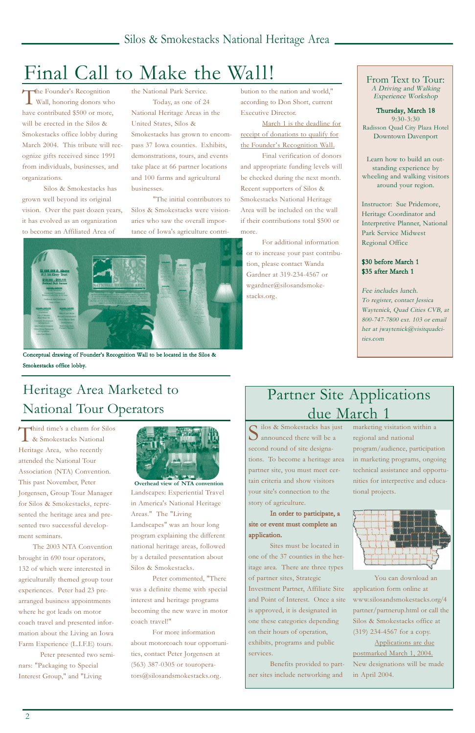Third time's a charm for Silos & Smokestacks National Heritage Area, who recently attended the National Tour Association (NTA) Convention. This past November, Peter Jorgensen, Group Tour Manager for Silos & Smokestacks, represented the heritage area and presented two successful development seminars. The 2003 NTA Convention brought in 690 tour operators, 132 of which were interested in agriculturally themed group tour experiences. Peter had 23 prearranged business appointments where he got leads on motor coach travel and presented information about the Living an Iowa Farm Experience (L.I.F.E) tours. Peter presented two seminars: "Packaging to Special Interest Group," and "Living



The Founder's Recognition Wall, honoring donors who have contributed \$500 or more, will be erected in the Silos & Smokestacks office lobby during March 2004. This tribute will recognize gifts received since 1991 from individuals, businesses, and organizations.

> Landscapes" was an hour long program explaining the different

national heritage areas, followed by a detailed presentation about Silos & Smokestacks.

Peter commented, "There was a definite theme with special interest and heritage programs becoming the new wave in motor coach travel!"

For more information about motorcoach tour opportunities, contact Peter Jorgensen at (563) 387-0305 or touroperators@silosandsmokestacks.org.

cilos & Smokestacks has just **J** announced there will be a second round of site designations. To become a heritage area partner site, you must meet certain criteria and show visitors your site's connection to the story of agriculture.

Silos & Smokestacks has grown well beyond its original vision. Over the past dozen years, it has evolved as an organization to become an Affiliated Area of

the National Park Service.

Today, as one of 24 National Heritage Areas in the United States, Silos & Smokestacks has grown to encompass 37 Iowa counties. Exhibits, demonstrations, tours, and events take place at 66 partner locations and 100 farms and agricultural businesses.

"The initial contributors to Silos & Smokestacks were visionaries who saw the overall importance of Iowa's agriculture contribution to the nation and world," according to Don Short, current Executive Director.

March 1 is the deadline for receipt of donations to qualify for the Founder's Recognition Wall.

Landscapes: Experiential Travel in America's National Heritage Areas." The "Living **Overhead view of NTA convention**

Final verification of donors and appropriate funding levels will be checked during the next month. Recent supporters of Silos & Smokestacks National Heritage Area will be included on the wall if their contributions total \$500 or more.

For additional information or to increase your past contribution, please contact Wanda Gardner at 319-234-4567 or wgardner@silosandsmokestacks.org.

## Final Call to Make the Wall!

### Heritage Area Marketed to National Tour Operators



Conceptual drawing of Founder's Recognition Wall to be located in the Silos & Smokestacks office lobby.

In order to participate, a site or event must complete an application.

Sites must be located in one of the 37 counties in the heritage area. There are three types of partner sites, Strategic Investment Partner, Affiliate Site and Point of Interest. Once a site is approved, it is designated in one these categories depending on their hours of operation, exhibits, programs and public services.

Benefits provided to partner sites include networking and

marketing visitation within a regional and national program/audience, participation in marketing programs, ongoing technical assistance and opportunities for interpretive and educational projects.



You can download an application form online at www.silosandsmokestacks.org/4 partner/partnerup.html or call the Silos & Smokestacks office at (319) 234-4567 for a copy. Applications are due postmarked March 1, 2004. New designations will be made in April 2004.

### Partner Site Applications due March 1

From Text to Tour: A Driving and Walking Experience Workshop

Thursday, March 18 9:30-3:30 Radisson Quad City Plaza Hotel Downtown Davenport

Learn how to build an outstanding experience by wheeling and walking visitors around your region.

Instructor: Sue Pridemore, Heritage Coordinator and Interpretive Planner, National Park Service Midwest Regional Office

#### \$30 before March 1 \$35 after March 1

Fee includes lunch. To register, contact Jessica Waytenick, Quad Cities CVB, at 800-747-7800 ext. 103 or email her at jwaytenick@visitquadcities.com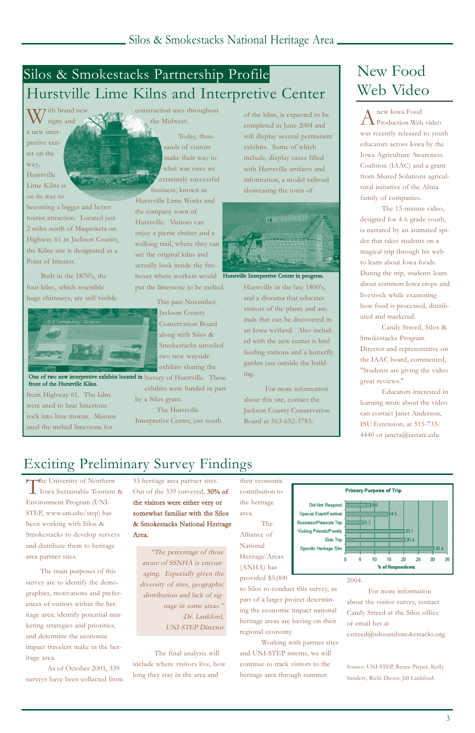W/ith brand new signs and a new interpretive center on the way, Hurstville Lime Kilns is on its way to

becoming a bigger and better tourist attraction. Located just 2 miles north of Maquoketa on Highway 61 in Jackson County, the Kilns site is designated as a Point of Interest.

Built in the 1870's, the four kilns, which resemble huge chimneys, are still visible



from Highway 61. The kilns were used to heat limestone rock into lime mortar. Masons used the melted limestone for

construction uses throughout the Midwest.

> Today, thousands of visitors make their way to what was once an extremely successful business, known as

Hurstville Lime Works and the company town of Hurstville. Visitors can enjoy a picnic shelter and a walking trail, where they can see the original kilns and actually look inside the fireboxes where workers would put the limestone to be melted.

> This past November, Jackson County Conservation Board along with Silos & Smokestacks unveiled two new wayside exhibits sharing the

One of two new interpretive exhibits located in history of Hurstville. These front of the Hurstville Kilns.

exhibits were funded in part

A new Iowa Food<br>Production Web video was recently released to youth educators across Iowa by the Iowa Agriculture Awareness Coalition (IAAC) and a grant from Shared Solutions agricultural initiative of the Altria family of companies.

by a Silos grant.

The Hurstville Interpretive Center, just south

of the kilns, is expected to be completed in June 2004 and will display several permanent exhibits. Some of which include, display cases filled with Hurstville artifacts and information, a model railroad showcasing the town of

The University of Northern<br>Iowa Sustainable Tourism & Environment Program (UNI-STEP, www.uni.edu/step) has been working with Silos & Smokestacks to develop surveys

Hurstville in the late 1800's, and a diorama that educates visitors of the plants and animals that can be discovered in an Iowa wetland. Also included with the new center is bird feeding stations and a butterfly garden just outside the building.

For more information about this site, contact the Jackson County Conservation Board at 563-652-3783.

#### Silos & Smokestacks Partnership Profile Hurstville Lime Kilns and Interpretive Center

The 15-minute video, designed for 4-6 grade youth, is narrated by an animated spider that takes students on a magical trip through his web to learn about Iowa foods. During the trip, students learn about common Iowa crops and livestock while examining how food is processed, distributed and marketed.

Candy Streed, Silos & Smokestacks Program Director and representative on the IAAC board, commented, "Students are giving the video great reviews."

Educators interested in learning more about the video can contact Janet Anderson, ISU Extension, at 515-733- 4440 or janeta@iastate.edu.



Hurstville Interpretive Center in progress.

and distribute them to heritage area partner sites.

The main purposes of this survey are to identify the demographics, motivations and preferences of visitors within the heritage area; identify potential marketing strategies and priorities; and determine the economic impact travelers make in the heritage area.

As of October 2003, 339 surveys have been collected from 33 heritage area partner sites. Out of the 339 surveyed, 30% of the visitors were either very or somewhat familiar with the Silos & Smokestacks National Heritage Area.

The final analysis will include where visitors live, how long they stay in the area and

their economic contribution to the heritage area. The Alliance of

**Primary Purpose of Trip** Did Not Respond Special Event/Festival 14.5  $562$ Business/Pleasure Trip Visiting Friends/Family  $20.1$ 

National **Specific Heritage Site** Heritage Areas (ANHA) has provided \$5,000 to Silos to conduct this survey, as part of a larger project determining the economic impact national heritage areas are having on their regional economy.

Working with partner sites and UNI-STEP interns, we will continue to track visitors to the heritage area through summer



#### 2004.

For more information about the visitor survey, contact Candy Streed at the Silos office or email her at cstreed@silosandsmokestacks.org.

Source: UNI-STEP, Renee Pieper, Kelly Sanders, Ricki Dieser, Jill Lankford.

#### Exciting Preliminary Survey Findings

### New Food Web Video

"The percentage of those aware of SSNHA is encouraging. Especially given the diversity of sites, geographic distribution and lack of signage in some areas." -Dr. Lankford, UNI-STEP Director